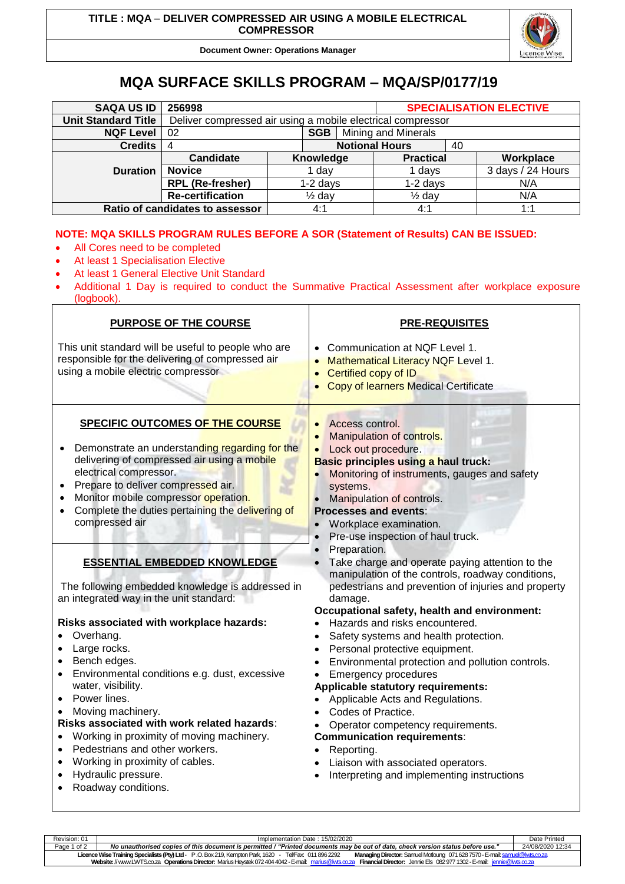

**Document Owner: Operations Manager**

## **MQA SURFACE SKILLS PROGRAM – MQA/SP/0177/19**

| <b>SAQA US ID</b>               | 256998                                                      |            |                   |                       | <b>SPECIALISATION ELECTIVE</b> |     |                   |
|---------------------------------|-------------------------------------------------------------|------------|-------------------|-----------------------|--------------------------------|-----|-------------------|
| <b>Unit Standard Title</b>      | Deliver compressed air using a mobile electrical compressor |            |                   |                       |                                |     |                   |
| <b>NQF Level</b>                | SGB  <br>02                                                 |            |                   | Mining and Minerals   |                                |     |                   |
| <b>Credits</b>                  | 4                                                           |            |                   | <b>Notional Hours</b> | 40                             |     |                   |
| <b>Duration</b>                 | Candidate                                                   |            | Knowledge         |                       | <b>Practical</b>               |     | Workplace         |
|                                 | <b>Novice</b>                                               | day        |                   |                       | 1 days                         |     | 3 days / 24 Hours |
|                                 | <b>RPL (Re-fresher)</b>                                     | $1-2$ days |                   |                       | $1-2$ days                     |     | N/A               |
|                                 | <b>Re-certification</b>                                     |            | $\frac{1}{2}$ day |                       | $\frac{1}{2}$ day              |     | N/A               |
| Ratio of candidates to assessor |                                                             | 4:1        |                   | 4:1                   |                                | 1:1 |                   |

## **NOTE: MQA SKILLS PROGRAM RULES BEFORE A SOR (Statement of Results) CAN BE ISSUED:**

- All Cores need to be completed
- At least 1 Specialisation Elective
- At least 1 General Elective Unit Standard
- Additional 1 Day is required to conduct the Summative Practical Assessment after workplace exposure (logbook).

| <b>PURPOSE OF THE COURSE</b>                                                                                                                                                                                                                                                                                                                                                                                                                                         | <b>PRE-REQUISITES</b>                                                                                                                                                                                                                                                                                                                                                                                                                                                                                                                  |  |  |  |
|----------------------------------------------------------------------------------------------------------------------------------------------------------------------------------------------------------------------------------------------------------------------------------------------------------------------------------------------------------------------------------------------------------------------------------------------------------------------|----------------------------------------------------------------------------------------------------------------------------------------------------------------------------------------------------------------------------------------------------------------------------------------------------------------------------------------------------------------------------------------------------------------------------------------------------------------------------------------------------------------------------------------|--|--|--|
| This unit standard will be useful to people who are<br>responsible for the delivering of compressed air<br>using a mobile electric compressor                                                                                                                                                                                                                                                                                                                        | Communication at NQF Level 1.<br>Mathematical Literacy NQF Level 1.<br>Certified copy of ID<br>$\bullet$<br><b>Copy of learners Medical Certificate</b>                                                                                                                                                                                                                                                                                                                                                                                |  |  |  |
| SPECIFIC OUTCOMES OF THE COURSE<br>Demonstrate an understanding regarding for the<br>delivering of compressed air using a mobile<br>electrical compressor.<br>Prepare to deliver compressed air.<br>Monitor mobile compressor operation.<br>Complete the duties pertaining the delivering of<br>compressed air                                                                                                                                                       | Access control.<br>Manipulation of controls.<br>Lock out procedure.<br><b>Basic principles using a haul truck:</b><br>Monitoring of instruments, gauges and safety<br>systems.<br>Manipulation of controls.<br><b>Processes and events:</b><br>Workplace examination.<br>Pre-use inspection of haul truck.<br>$\bullet$                                                                                                                                                                                                                |  |  |  |
| <b>ESSENTIAL EMBEDDED KNOWLEDGE</b><br>The following embedded knowledge is addressed in<br>an integrated way in the unit standard:                                                                                                                                                                                                                                                                                                                                   | Preparation.<br>Take charge and operate paying attention to the<br>manipulation of the controls, roadway conditions,<br>pedestrians and prevention of injuries and property<br>damage.                                                                                                                                                                                                                                                                                                                                                 |  |  |  |
| Risks associated with workplace hazards:<br>Overhang.<br>Large rocks.<br>Bench edges.<br>Environmental conditions e.g. dust, excessive<br>$\bullet$<br>water, visibility.<br>Power lines.<br>Moving machinery.<br>Risks associated with work related hazards:<br>Working in proximity of moving machinery.<br>Pedestrians and other workers.<br>$\bullet$<br>Working in proximity of cables.<br>$\bullet$<br>Hydraulic pressure.<br>$\bullet$<br>Roadway conditions. | Occupational safety, health and environment:<br>Hazards and risks encountered.<br>Safety systems and health protection.<br>Personal protective equipment.<br>$\bullet$<br>Environmental protection and pollution controls.<br><b>Emergency procedures</b><br>Applicable statutory requirements:<br>Applicable Acts and Regulations.<br>Codes of Practice.<br>Operator competency requirements.<br><b>Communication requirements:</b><br>Reporting.<br>Liaison with associated operators.<br>Interpreting and implementing instructions |  |  |  |

| Revision: 01                                                                                                                                                                          | Implementation Date: 15/02/2020                                                                                                 |                  |  |  |  |
|---------------------------------------------------------------------------------------------------------------------------------------------------------------------------------------|---------------------------------------------------------------------------------------------------------------------------------|------------------|--|--|--|
| Page 1 of 2                                                                                                                                                                           | No unauthorised copies of this document is permitted / "Printed documents may be out of date, check version status before use." | 24/08/2020 12:34 |  |  |  |
| Licence Wise Training Specialists (Pty) Ltd - P.O. Box 219, Kempton Park, 1620 - Tel/Fax: 011 896 2292<br>Managing Director: Samuel Motloung 071 628 7570 - E-mail: samuel@lwts.co.za |                                                                                                                                 |                  |  |  |  |
| Financial Director: Jennie Els 082 977 1302 - E-mail: jennie@lwts.co.za<br>Website: // www.LWTS.co.za Operations Director: Marius Heystek 0724044042 - E-mail: marius@lwts.co.za      |                                                                                                                                 |                  |  |  |  |
|                                                                                                                                                                                       |                                                                                                                                 |                  |  |  |  |